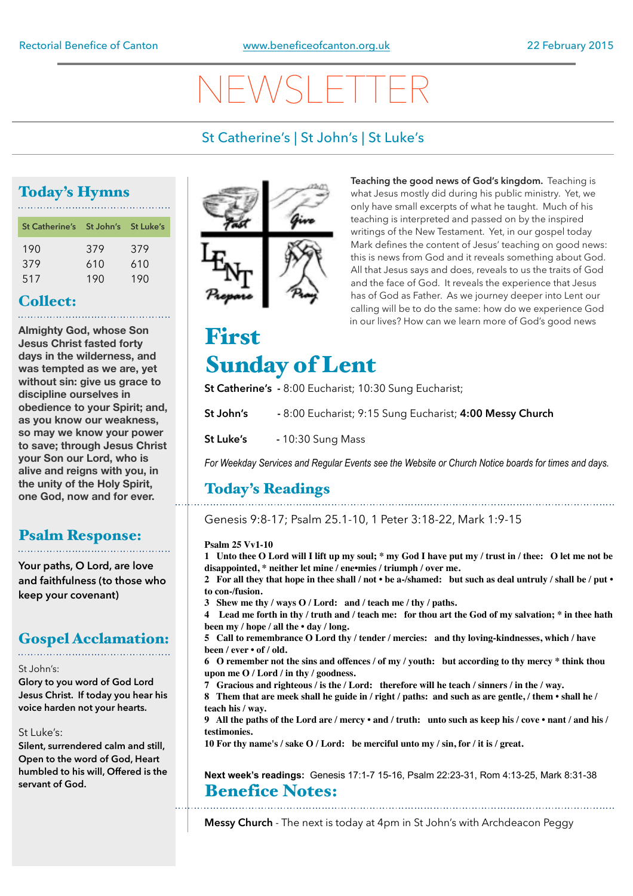# NEWSLETTER

### St Catherine's | St John's | St Luke's

### Today's Hymns

| St Catherine's St John's St Luke's |     |     |
|------------------------------------|-----|-----|
| 190                                | 379 | 379 |
| 379                                | 610 | 610 |
| 517                                | 190 | 190 |

### Collect:

**Almighty God, whose Son Jesus Christ fasted forty days in the wilderness, and was tempted as we are, yet without sin: give us grace to discipline ourselves in obedience to your Spirit; and, as you know our weakness, so may we know your power to save; through Jesus Christ your Son our Lord, who is alive and reigns with you, in the unity of the Holy Spirit, one God, now and for ever.** 

### Psalm Response:

**Your paths, O Lord, are love and faithfulness (to those who keep your covenant)**

### Gospel Acclamation:

### St John's:

**Glory to you word of God Lord Jesus Christ. If today you hear his voice harden not your hearts.** 

### St Luke's:

**Silent, surrendered calm and still, Open to the word of God, Heart humbled to his will, Offered is the servant of God.**



**Teaching the good news of God's kingdom.** Teaching is what Jesus mostly did during his public ministry. Yet, we only have small excerpts of what he taught. Much of his teaching is interpreted and passed on by the inspired writings of the New Testament. Yet, in our gospel today Mark defines the content of Jesus' teaching on good news: this is news from God and it reveals something about God. All that Jesus says and does, reveals to us the traits of God and the face of God. It reveals the experience that Jesus has of God as Father. As we journey deeper into Lent our calling will be to do the same: how do we experience God in our lives? How can we learn more of God's good news

## First Sunday of Lent

**St Catherine's -** 8:00 Eucharist; 10:30 Sung Eucharist;

**St John's -** 8:00 Eucharist; 9:15 Sung Eucharist; **4:00 Messy Church** 

**St Luke's - 10:30 Sung Mass** 

*For Weekday Services and Regular Events see the Website or Church Notice boards for times and days.*

### Today's Readings

Genesis 9:8-17; Psalm 25.1-10, 1 Peter 3:18-22, Mark 1:9-15

### **Psalm 25 Vv1-10**

**1 Unto thee O Lord will I lift up my soul; \* my God I have put my / trust in / thee: O let me not be disappointed, \* neither let mine / ene•mies / triumph / over me.** 

**2 For all they that hope in thee shall / not • be a-/shamed: but such as deal untruly / shall be / put • to con-/fusion.**

**3 Shew me thy / ways O / Lord: and / teach me / thy / paths.**

**4 Lead me forth in thy / truth and / teach me: for thou art the God of my salvation; \* in thee hath been my / hope / all the • day / long.**

**5 Call to remembrance O Lord thy / tender / mercies: and thy loving-kindnesses, which / have been / ever • of / old.**

**6 O remember not the sins and offences / of my / youth: but according to thy mercy \* think thou upon me O / Lord / in thy / goodness.**

**7 Gracious and righteous / is the / Lord: therefore will he teach / sinners / in the / way.**

**8 Them that are meek shall he guide in / right / paths: and such as are gentle, / them • shall he / teach his / way.**

**9 All the paths of the Lord are / mercy • and / truth: unto such as keep his / cove • nant / and his / testimonies.**

**10 For thy name's / sake O / Lord: be merciful unto my / sin, for / it is / great.** 

**Next week's readings:** Genesis 17:1-7 15-16, Psalm 22:23-31, Rom 4:13-25, Mark 8:31-38 Benefice Notes:

**Messy Church** - The next is today at 4pm in St John's with Archdeacon Peggy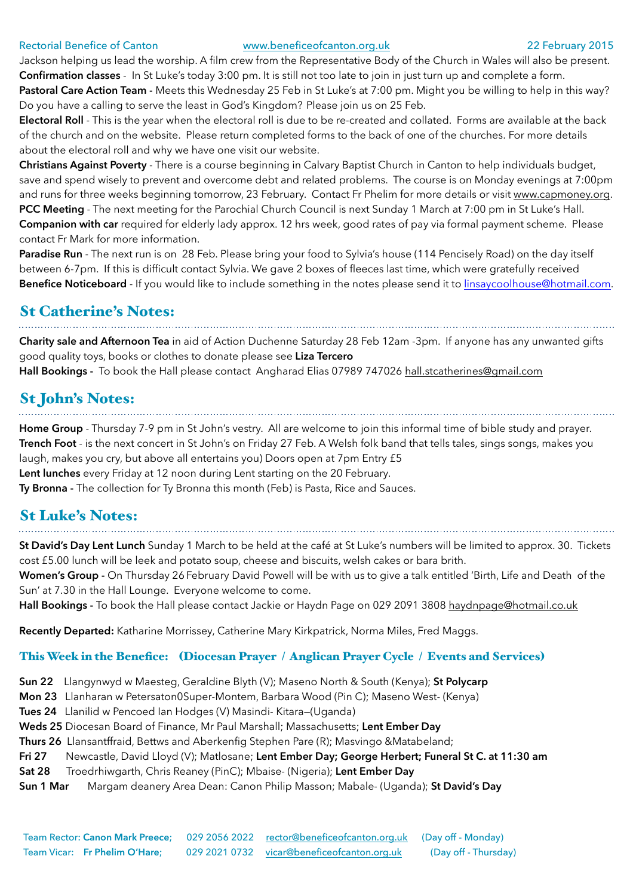### Rectorial Benefice of Canton [www.beneficeofcanton.org.uk](http://www.beneficeofcanton.org.uk) 22 February 2015

Jackson helping us lead the worship. A film crew from the Representative Body of the Church in Wales will also be present. **Confirmation classes** - In St Luke's today 3:00 pm. It is still not too late to join in just turn up and complete a form.

Pastoral Care Action Team - Meets this Wednesday 25 Feb in St Luke's at 7:00 pm. Might you be willing to help in this way? Do you have a calling to serve the least in God's Kingdom? Please join us on 25 Feb.

**Electoral Roll** - This is the year when the electoral roll is due to be re-created and collated. Forms are available at the back of the church and on the website. Please return completed forms to the back of one of the churches. For more details about the electoral roll and why we have one visit our website.

**Christians Against Poverty** - There is a course beginning in Calvary Baptist Church in Canton to help individuals budget, save and spend wisely to prevent and overcome debt and related problems. The course is on Monday evenings at 7:00pm and runs for three weeks beginning tomorrow, 23 February. Contact Fr Phelim for more details or visit [www.capmoney.org](http://www.capmoney.org). **PCC Meeting** - The next meeting for the Parochial Church Council is next Sunday 1 March at 7:00 pm in St Luke's Hall. **Companion with car** required for elderly lady approx. 12 hrs week, good rates of pay via formal payment scheme. Please contact Fr Mark for more information.

Paradise Run - The next run is on 28 Feb. Please bring your food to Sylvia's house (114 Pencisely Road) on the day itself between 6-7pm. If this is difficult contact Sylvia. We gave 2 boxes of fleeces last time, which were gratefully received Benefice Noticeboard - If you would like to include something in the notes please send it to [linsaycoolhouse@hotmail.com](mailto:linsaycoolhouse@hotmail.com).

### St Catherine's Notes:

**Charity sale and Afternoon Tea** in aid of Action Duchenne Saturday 28 Feb 12am -3pm. If anyone has any unwanted gifts good quality toys, books or clothes to donate please see **Liza Tercero Hall Bookings -** To book the Hall please contact Angharad Elias 07989 747026 [hall.stcatherines@gmail.com](mailto:hall.stcatherines@gmail.com)

# St John's Notes:

**Home Group** - Thursday 7-9 pm in St John's vestry. All are welcome to join this informal time of bible study and prayer. **Trench Foot** - is the next concert in St John's on Friday 27 Feb. A Welsh folk band that tells tales, sings songs, makes you laugh, makes you cry, but above all entertains you) Doors open at 7pm Entry £5 **Lent lunches** every Friday at 12 noon during Lent starting on the 20 February. **Ty Bronna -** The collection for Ty Bronna this month (Feb) is Pasta, Rice and Sauces.

### St Luke's Notes:

**St David's Day Lent Lunch** Sunday 1 March to be held at the café at St Luke's numbers will be limited to approx. 30. Tickets cost £5.00 lunch will be leek and potato soup, cheese and biscuits, welsh cakes or bara brith.

**Women's Group -** On Thursday 26 February David Powell will be with us to give a talk entitled 'Birth, Life and Death of the Sun' at 7.30 in the Hall Lounge. Everyone welcome to come.

**Hall Bookings -** To book the Hall please contact Jackie or Haydn Page on 029 2091 3808 [haydnpage@hotmail.co.uk](mailto:haydnpage@hotmail.co.uk)

**Recently Departed:** Katharine Morrissey, Catherine Mary Kirkpatrick, Norma Miles, Fred Maggs.

### This Week in the Benefice: (Diocesan Prayer / Anglican Prayer Cycle / Events and Services)

**Sun 22** Llangynwyd w Maesteg, Geraldine Blyth (V); Maseno North & South (Kenya); **St Polycarp**

**Mon 23** Llanharan w Petersaton0Super-Montem, Barbara Wood (Pin C); Maseno West- (Kenya)

**Tues 24** Llanilid w Pencoed Ian Hodges (V) Masindi- Kitara—(Uganda)

**Weds 25** Diocesan Board of Finance, Mr Paul Marshall; Massachusetts; **Lent Ember Day** 

**Thurs 26** Llansantffraid, Bettws and Aberkenfig Stephen Pare (R); Masvingo &Matabeland;

**Fri 27** Newcastle, David Lloyd (V); Matlosane; **Lent Ember Day; George Herbert; Funeral St C. at 11:30 am**

- **Sat 28** Troedrhiwgarth, Chris Reaney (PinC); Mbaise- (Nigeria); **Lent Ember Day**
- **Sun 1 Mar** Margam deanery Area Dean: Canon Philip Masson; Mabale- (Uganda); **St David's Day**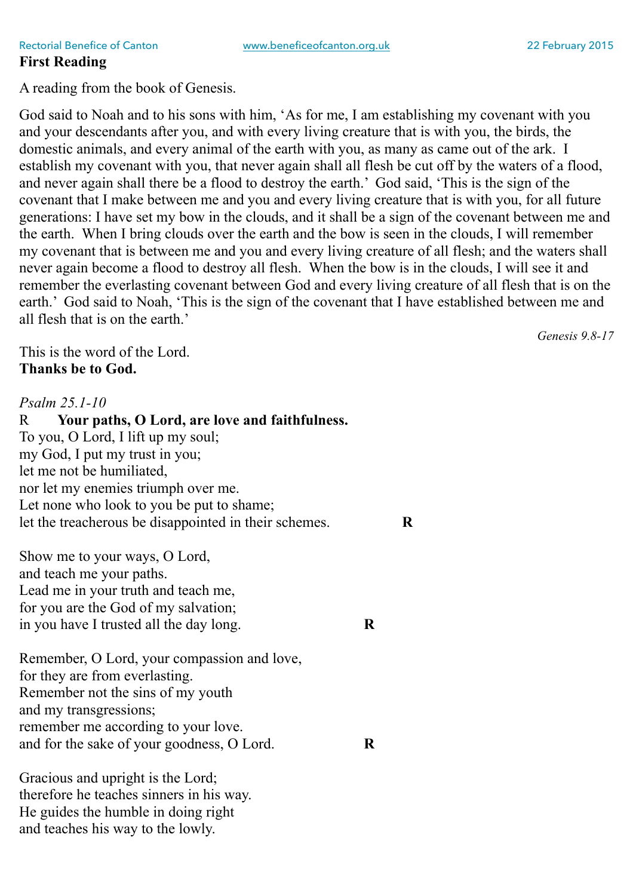A reading from the book of Genesis.

God said to Noah and to his sons with him, 'As for me, I am establishing my covenant with you and your descendants after you, and with every living creature that is with you, the birds, the domestic animals, and every animal of the earth with you, as many as came out of the ark. I establish my covenant with you, that never again shall all flesh be cut off by the waters of a flood, and never again shall there be a flood to destroy the earth.' God said, 'This is the sign of the covenant that I make between me and you and every living creature that is with you, for all future generations: I have set my bow in the clouds, and it shall be a sign of the covenant between me and the earth. When I bring clouds over the earth and the bow is seen in the clouds, I will remember my covenant that is between me and you and every living creature of all flesh; and the waters shall never again become a flood to destroy all flesh. When the bow is in the clouds, I will see it and remember the everlasting covenant between God and every living creature of all flesh that is on the earth.' God said to Noah, 'This is the sign of the covenant that I have established between me and all flesh that is on the earth.'

This is the word of the Lord. **Thanks be to God.**

*Psalm 25.1-10* R **Your paths, O Lord, are love and faithfulness.** To you, O Lord, I lift up my soul; my God, I put my trust in you; let me not be humiliated, nor let my enemies triumph over me. Let none who look to you be put to shame; let the treacherous be disappointed in their schemes. **R**

Show me to your ways, O Lord, and teach me your paths. Lead me in your truth and teach me, for you are the God of my salvation; in you have I trusted all the day long. **R**

Remember, O Lord, your compassion and love, for they are from everlasting. Remember not the sins of my youth and my transgressions; remember me according to your love. and for the sake of your goodness, O Lord. **R**

Gracious and upright is the Lord; therefore he teaches sinners in his way. He guides the humble in doing right and teaches his way to the lowly.

*Genesis 9.8-17*